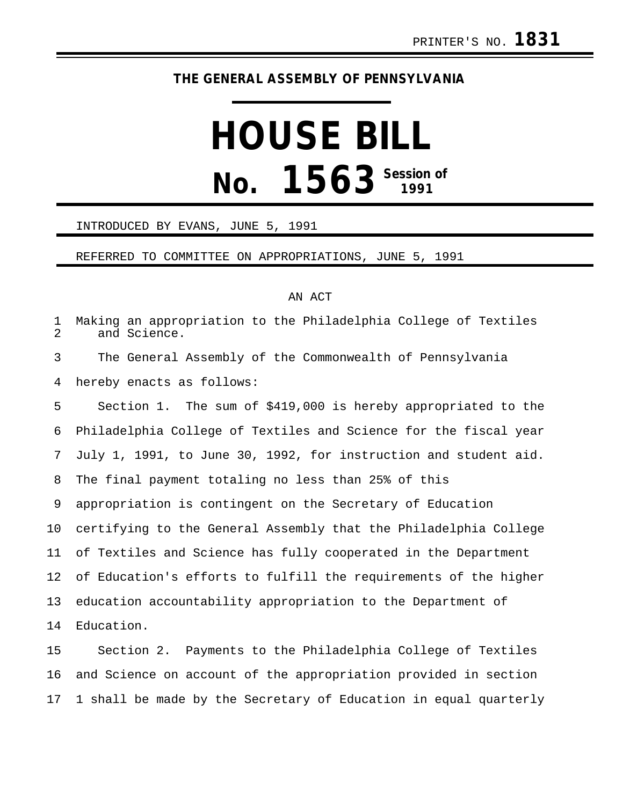## **THE GENERAL ASSEMBLY OF PENNSYLVANIA**

# **HOUSE BILL No. 1563 Session of**

#### INTRODUCED BY EVANS, JUNE 5, 1991

#### REFERRED TO COMMITTEE ON APPROPRIATIONS, JUNE 5, 1991

### AN ACT

1 Making an appropriation to the Philadelphia College of Textiles and Science. 3 The General Assembly of the Commonwealth of Pennsylvania 4 hereby enacts as follows: 5 Section 1. The sum of \$419,000 is hereby appropriated to the 6 Philadelphia College of Textiles and Science for the fiscal year 7 July 1, 1991, to June 30, 1992, for instruction and student aid. 8 The final payment totaling no less than 25% of this 9 appropriation is contingent on the Secretary of Education 10 certifying to the General Assembly that the Philadelphia College 11 of Textiles and Science has fully cooperated in the Department 12 of Education's efforts to fulfill the requirements of the higher 13 education accountability appropriation to the Department of 14 Education. 15 Section 2. Payments to the Philadelphia College of Textiles

16 and Science on account of the appropriation provided in section 17 1 shall be made by the Secretary of Education in equal quarterly